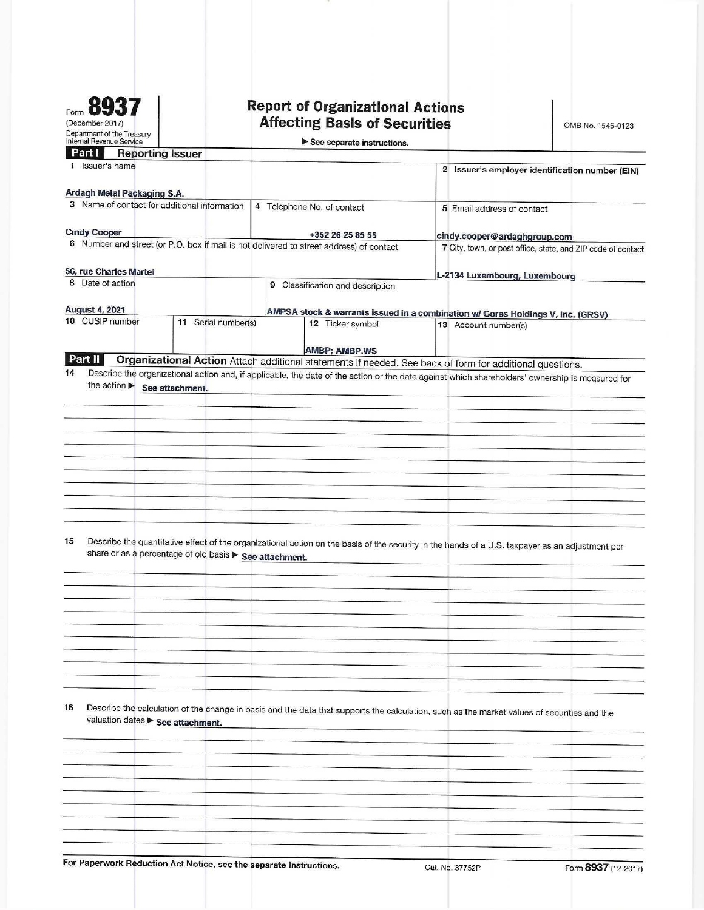| Form                                                   |
|--------------------------------------------------------|
| (December 2017)                                        |
| Department of the Treasury<br>Internal Revenue Service |

# **Report of Organizational Actions<br>Affecting Basis of Securities**

OMB No. 1545-0123

| See separate instructions |  |
|---------------------------|--|

| <b>Reporting Issuer</b><br>Part I                                                                                                                     |                                                                                              |  |  |
|-------------------------------------------------------------------------------------------------------------------------------------------------------|----------------------------------------------------------------------------------------------|--|--|
| 1 Issuer's name                                                                                                                                       | 2 Issuer's employer identification number (EIN)                                              |  |  |
|                                                                                                                                                       |                                                                                              |  |  |
| Ardagh Metal Packaging S.A.<br>3 Name of contact for additional information<br>4 Telephone No. of contact                                             |                                                                                              |  |  |
|                                                                                                                                                       | 5 Email address of contact                                                                   |  |  |
| <b>Cindy Cooper</b><br>+352 26 25 85 55                                                                                                               |                                                                                              |  |  |
| 6 Number and street (or P.O. box if mail is not delivered to street address) of contact                                                               | cindy.cooper@ardaghgroup.com<br>7 City, town, or post office, state, and ZIP code of contact |  |  |
|                                                                                                                                                       |                                                                                              |  |  |
| 56, rue Charles Martel                                                                                                                                | L-2134 Luxembourg, Luxembourg                                                                |  |  |
| 8 Date of action<br>9 Classification and description                                                                                                  |                                                                                              |  |  |
|                                                                                                                                                       |                                                                                              |  |  |
| <b>August 4, 2021</b><br>10 CUSIP number<br>11 Serial number(s)<br>12 Ticker symbol                                                                   | AMPSA stock & warrants issued in a combination w/ Gores Holdings V, Inc. (GRSV)              |  |  |
|                                                                                                                                                       | 13 Account number(s)                                                                         |  |  |
| <b>AMBP: AMBP.WS</b>                                                                                                                                  |                                                                                              |  |  |
| Part II<br>Organizational Action Attach additional statements if needed. See back of form for additional questions.                                   |                                                                                              |  |  |
| 14<br>Describe the organizational action and, if applicable, the date of the action or the date against which shareholders' ownership is measured for |                                                                                              |  |  |
| the action See attachment.                                                                                                                            |                                                                                              |  |  |
|                                                                                                                                                       |                                                                                              |  |  |
|                                                                                                                                                       |                                                                                              |  |  |
|                                                                                                                                                       |                                                                                              |  |  |
|                                                                                                                                                       |                                                                                              |  |  |
|                                                                                                                                                       |                                                                                              |  |  |
|                                                                                                                                                       |                                                                                              |  |  |
|                                                                                                                                                       |                                                                                              |  |  |
|                                                                                                                                                       |                                                                                              |  |  |
|                                                                                                                                                       |                                                                                              |  |  |
|                                                                                                                                                       |                                                                                              |  |  |
| 15<br>Describe the quantitative effect of the organizational action on the basis of the security in the hands of a U.S. taxpayer as an adjustment per |                                                                                              |  |  |
| share or as a percentage of old basis > See attachment.                                                                                               |                                                                                              |  |  |
|                                                                                                                                                       |                                                                                              |  |  |
|                                                                                                                                                       |                                                                                              |  |  |
|                                                                                                                                                       |                                                                                              |  |  |
|                                                                                                                                                       |                                                                                              |  |  |
|                                                                                                                                                       |                                                                                              |  |  |
|                                                                                                                                                       |                                                                                              |  |  |
|                                                                                                                                                       |                                                                                              |  |  |
|                                                                                                                                                       |                                                                                              |  |  |
|                                                                                                                                                       |                                                                                              |  |  |
|                                                                                                                                                       |                                                                                              |  |  |
| 16<br>Describe the calculation of the change in basis and the data that supports the calculation, such as the market values of securities and the     |                                                                                              |  |  |
| valuation dates > See attachment.                                                                                                                     |                                                                                              |  |  |
|                                                                                                                                                       |                                                                                              |  |  |
|                                                                                                                                                       |                                                                                              |  |  |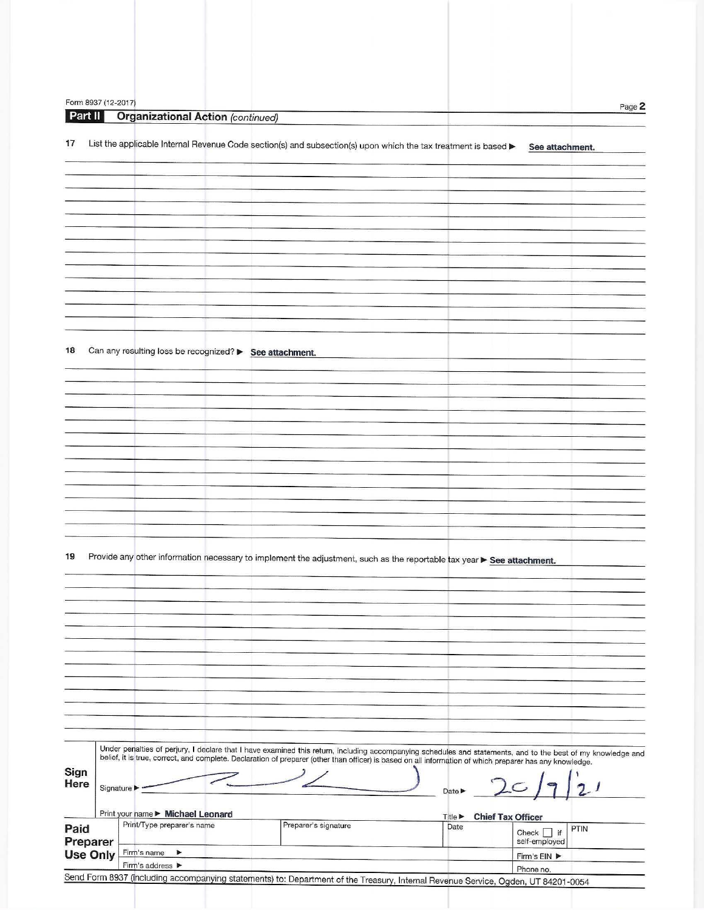| Form 8937 (12-2017) |             |                                                         |                                                                                                                                                          |                                            | Page 2                                                                                                                                                       |
|---------------------|-------------|---------------------------------------------------------|----------------------------------------------------------------------------------------------------------------------------------------------------------|--------------------------------------------|--------------------------------------------------------------------------------------------------------------------------------------------------------------|
| Part II             |             | <b>Organizational Action (continued)</b>                |                                                                                                                                                          |                                            |                                                                                                                                                              |
|                     |             |                                                         |                                                                                                                                                          |                                            |                                                                                                                                                              |
| 17                  |             |                                                         | List the applicable Internal Revenue Code section(s) and subsection(s) upon which the tax treatment is based >                                           |                                            | See attachment.                                                                                                                                              |
|                     |             |                                                         |                                                                                                                                                          |                                            |                                                                                                                                                              |
|                     |             |                                                         |                                                                                                                                                          |                                            |                                                                                                                                                              |
|                     |             |                                                         |                                                                                                                                                          |                                            |                                                                                                                                                              |
|                     |             |                                                         |                                                                                                                                                          |                                            |                                                                                                                                                              |
|                     |             |                                                         |                                                                                                                                                          |                                            |                                                                                                                                                              |
|                     |             |                                                         |                                                                                                                                                          |                                            |                                                                                                                                                              |
|                     |             |                                                         |                                                                                                                                                          |                                            |                                                                                                                                                              |
|                     |             |                                                         |                                                                                                                                                          |                                            |                                                                                                                                                              |
|                     |             |                                                         |                                                                                                                                                          |                                            |                                                                                                                                                              |
|                     |             |                                                         |                                                                                                                                                          |                                            |                                                                                                                                                              |
|                     |             |                                                         |                                                                                                                                                          |                                            |                                                                                                                                                              |
| 18                  |             | Can any resulting loss be recognized? > See attachment. |                                                                                                                                                          |                                            |                                                                                                                                                              |
|                     |             |                                                         |                                                                                                                                                          |                                            |                                                                                                                                                              |
|                     |             |                                                         |                                                                                                                                                          |                                            |                                                                                                                                                              |
|                     |             |                                                         |                                                                                                                                                          |                                            |                                                                                                                                                              |
|                     |             |                                                         |                                                                                                                                                          |                                            |                                                                                                                                                              |
|                     |             |                                                         |                                                                                                                                                          |                                            |                                                                                                                                                              |
|                     |             |                                                         |                                                                                                                                                          |                                            |                                                                                                                                                              |
|                     |             |                                                         |                                                                                                                                                          |                                            |                                                                                                                                                              |
|                     |             |                                                         |                                                                                                                                                          |                                            |                                                                                                                                                              |
|                     |             |                                                         |                                                                                                                                                          |                                            |                                                                                                                                                              |
|                     |             |                                                         |                                                                                                                                                          |                                            |                                                                                                                                                              |
|                     |             |                                                         |                                                                                                                                                          |                                            |                                                                                                                                                              |
| 19                  |             |                                                         | Provide any other information necessary to implement the adjustment, such as the reportable tax year ▶ See attachment.                                   |                                            |                                                                                                                                                              |
|                     |             |                                                         |                                                                                                                                                          |                                            |                                                                                                                                                              |
|                     |             |                                                         |                                                                                                                                                          |                                            |                                                                                                                                                              |
|                     |             |                                                         |                                                                                                                                                          |                                            |                                                                                                                                                              |
|                     |             |                                                         |                                                                                                                                                          |                                            |                                                                                                                                                              |
|                     |             |                                                         |                                                                                                                                                          |                                            |                                                                                                                                                              |
|                     |             |                                                         |                                                                                                                                                          |                                            |                                                                                                                                                              |
|                     |             |                                                         |                                                                                                                                                          |                                            |                                                                                                                                                              |
|                     |             |                                                         |                                                                                                                                                          |                                            |                                                                                                                                                              |
|                     |             |                                                         |                                                                                                                                                          |                                            |                                                                                                                                                              |
|                     |             |                                                         |                                                                                                                                                          |                                            |                                                                                                                                                              |
|                     |             |                                                         |                                                                                                                                                          |                                            |                                                                                                                                                              |
|                     |             |                                                         |                                                                                                                                                          |                                            | Under penalties of perjury, I declare that I have examined this return, including accompanying schedules and statements, and to the best of my knowledge and |
| Sign                |             |                                                         | belief, it is true, correct, and complete. Declaration of preparer (other than officer) is based on all information of which preparer has any knowledge. |                                            |                                                                                                                                                              |
| Here                | Signature ▶ |                                                         |                                                                                                                                                          | Date $\blacktriangleright$                 |                                                                                                                                                              |
|                     |             |                                                         |                                                                                                                                                          |                                            |                                                                                                                                                              |
|                     |             | Print your name ► Michael Leonard                       |                                                                                                                                                          | <b>Chief Tax Officer</b><br><b>Title ▶</b> |                                                                                                                                                              |
| Paid                |             | Print/Type preparer's name                              | Preparer's signature                                                                                                                                     | Date                                       | PTIN<br>Check $\Box$ if                                                                                                                                      |
| Preparer            |             | Firm's name<br>▶                                        |                                                                                                                                                          |                                            | self-employed                                                                                                                                                |
| <b>Use Only</b>     |             | Firm's address ▶                                        |                                                                                                                                                          |                                            | Firm's EIN ▶<br>Phone no.                                                                                                                                    |
|                     |             |                                                         | Send Form 8937 (including accompanying statements) to: Department of the Treasury, Internal Revenue Service, Ogden, UT 84201-0054                        |                                            |                                                                                                                                                              |
|                     |             |                                                         |                                                                                                                                                          |                                            |                                                                                                                                                              |
|                     |             |                                                         |                                                                                                                                                          |                                            |                                                                                                                                                              |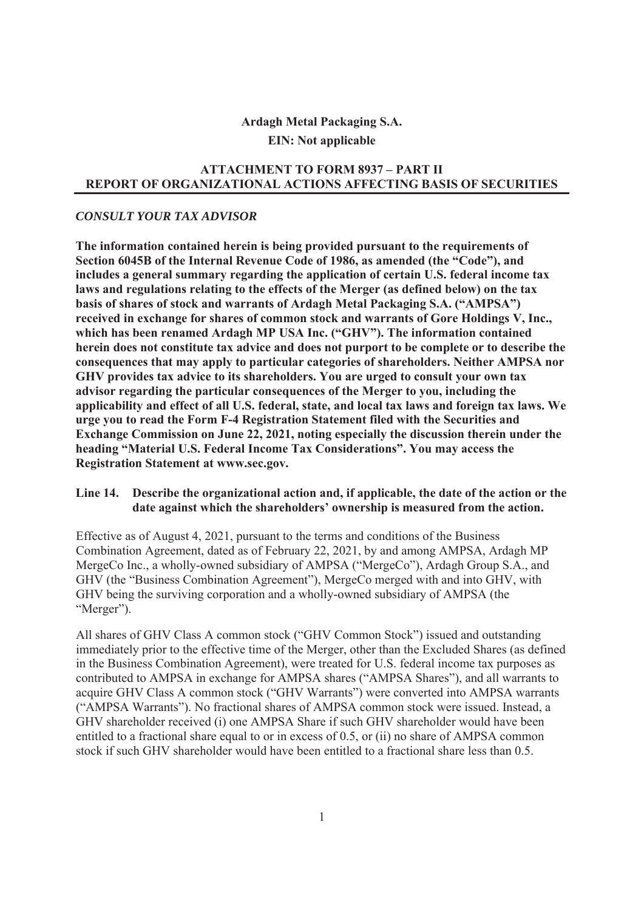# **Ardagh Metal Packaging S.A. EIN: Not applicable**

#### **ATTACHMENT TO FORM 8937 – PART II REPORT OF ORGANIZATIONAL ACTIONS AFFECTING BASIS OF SECURITIES**

#### *CONSULT YOUR TAX ADVISOR*

**The information contained herein is being provided pursuant to the requirements of Section 6045B of the Internal Revenue Code of 1986, as amended (the "Code"), and includes a general summary regarding the application of certain U.S. federal income tax laws and regulations relating to the effects of the Merger (as defined below) on the tax basis of shares of stock and warrants of Ardagh Metal Packaging S.A. ("AMPSA") received in exchange for shares of common stock and warrants of Gore Holdings V, Inc., which has been renamed Ardagh MP USA Inc. ("GHV"). The information contained herein does not constitute tax advice and does not purport to be complete or to describe the consequences that may apply to particular categories of shareholders. Neither AMPSA nor GHV provides tax advice to its shareholders. You are urged to consult your own tax advisor regarding the particular consequences of the Merger to you, including the applicability and effect of all U.S. federal, state, and local tax laws and foreign tax laws. We urge you to read the Form F-4 Registration Statement filed with the Securities and Exchange Commission on June 22, 2021, noting especially the discussion therein under the heading "Material U.S. Federal Income Tax Considerations". You may access the Registration Statement at www.sec.gov.** 

#### **Line 14. Describe the organizational action and, if applicable, the date of the action or the date against which the shareholders' ownership is measured from the action.**

Effective as of August 4, 2021, pursuant to the terms and conditions of the Business Combination Agreement, dated as of February 22, 2021, by and among AMPSA, Ardagh MP MergeCo Inc., a wholly-owned subsidiary of AMPSA ("MergeCo"), Ardagh Group S.A., and GHV (the "Business Combination Agreement"), MergeCo merged with and into GHV, with GHV being the surviving corporation and a wholly-owned subsidiary of AMPSA (the "Merger").

All shares of GHV Class A common stock ("GHV Common Stock") issued and outstanding immediately prior to the effective time of the Merger, other than the Excluded Shares (as defined in the Business Combination Agreement), were treated for U.S. federal income tax purposes as contributed to AMPSA in exchange for AMPSA shares ("AMPSA Shares"), and all warrants to acquire GHV Class A common stock ("GHV Warrants") were converted into AMPSA warrants ("AMPSA Warrants"). No fractional shares of AMPSA common stock were issued. Instead, a GHV shareholder received (i) one AMPSA Share if such GHV shareholder would have been entitled to a fractional share equal to or in excess of 0.5, or (ii) no share of AMPSA common stock if such GHV shareholder would have been entitled to a fractional share less than 0.5.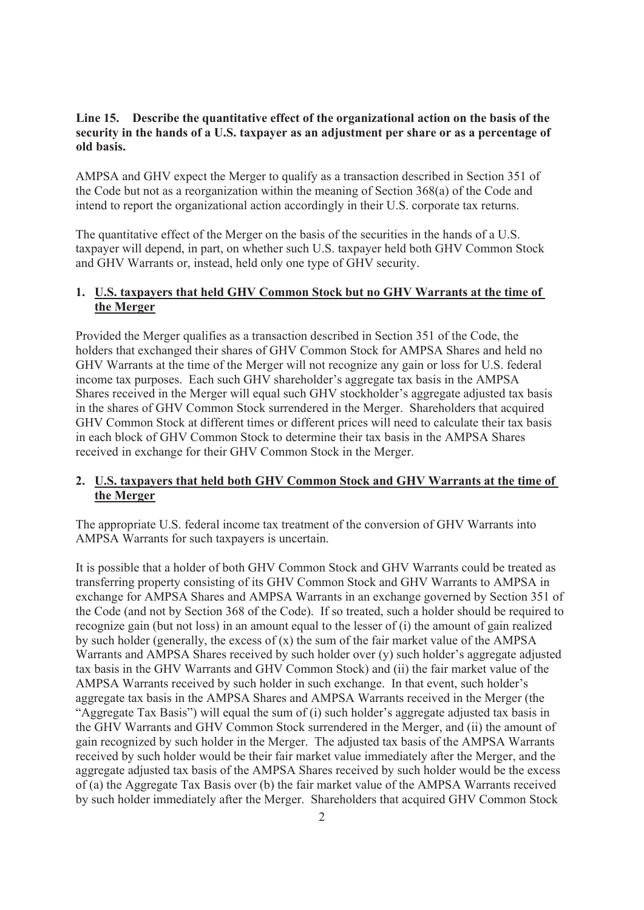#### **Line 15. Describe the quantitative effect of the organizational action on the basis of the security in the hands of a U.S. taxpayer as an adjustment per share or as a percentage of old basis.**

AMPSA and GHV expect the Merger to qualify as a transaction described in Section 351 of the Code but not as a reorganization within the meaning of Section 368(a) of the Code and intend to report the organizational action accordingly in their U.S. corporate tax returns.

The quantitative effect of the Merger on the basis of the securities in the hands of a U.S. taxpayer will depend, in part, on whether such U.S. taxpayer held both GHV Common Stock and GHV Warrants or, instead, held only one type of GHV security.

# **1. U.S. taxpayers that held GHV Common Stock but no GHV Warrants at the time of the Merger**

Provided the Merger qualifies as a transaction described in Section 351 of the Code, the holders that exchanged their shares of GHV Common Stock for AMPSA Shares and held no GHV Warrants at the time of the Merger will not recognize any gain or loss for U.S. federal income tax purposes. Each such GHV shareholder's aggregate tax basis in the AMPSA Shares received in the Merger will equal such GHV stockholder's aggregate adjusted tax basis in the shares of GHV Common Stock surrendered in the Merger. Shareholders that acquired GHV Common Stock at different times or different prices will need to calculate their tax basis in each block of GHV Common Stock to determine their tax basis in the AMPSA Shares received in exchange for their GHV Common Stock in the Merger.

# **2. U.S. taxpayers that held both GHV Common Stock and GHV Warrants at the time of the Merger**

The appropriate U.S. federal income tax treatment of the conversion of GHV Warrants into AMPSA Warrants for such taxpayers is uncertain.

It is possible that a holder of both GHV Common Stock and GHV Warrants could be treated as transferring property consisting of its GHV Common Stock and GHV Warrants to AMPSA in exchange for AMPSA Shares and AMPSA Warrants in an exchange governed by Section 351 of the Code (and not by Section 368 of the Code). If so treated, such a holder should be required to recognize gain (but not loss) in an amount equal to the lesser of (i) the amount of gain realized by such holder (generally, the excess of (x) the sum of the fair market value of the AMPSA Warrants and AMPSA Shares received by such holder over (y) such holder's aggregate adjusted tax basis in the GHV Warrants and GHV Common Stock) and (ii) the fair market value of the AMPSA Warrants received by such holder in such exchange. In that event, such holder's aggregate tax basis in the AMPSA Shares and AMPSA Warrants received in the Merger (the "Aggregate Tax Basis") will equal the sum of (i) such holder's aggregate adjusted tax basis in the GHV Warrants and GHV Common Stock surrendered in the Merger, and (ii) the amount of gain recognized by such holder in the Merger. The adjusted tax basis of the AMPSA Warrants received by such holder would be their fair market value immediately after the Merger, and the aggregate adjusted tax basis of the AMPSA Shares received by such holder would be the excess of (a) the Aggregate Tax Basis over (b) the fair market value of the AMPSA Warrants received by such holder immediately after the Merger. Shareholders that acquired GHV Common Stock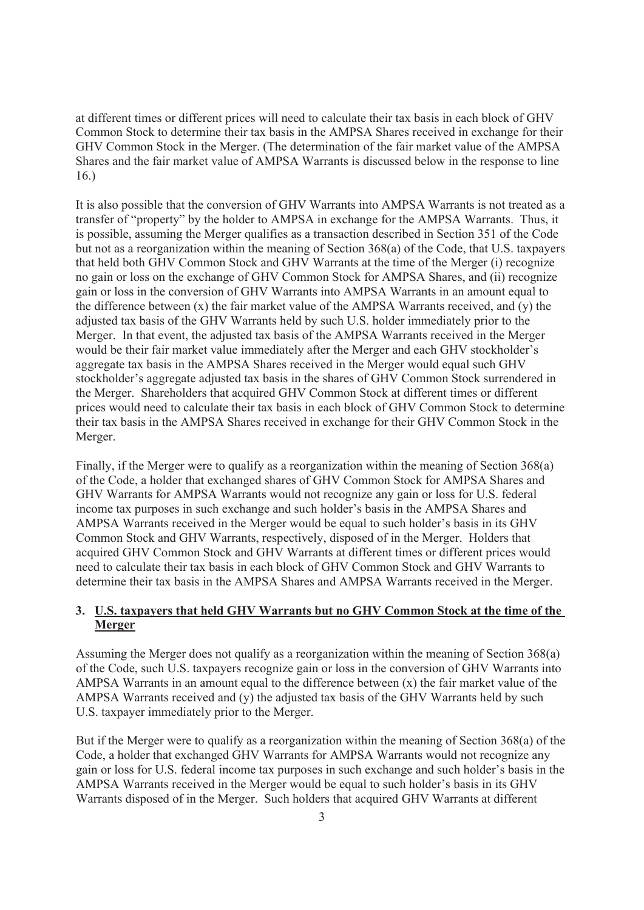at different times or different prices will need to calculate their tax basis in each block of GHV Common Stock to determine their tax basis in the AMPSA Shares received in exchange for their GHV Common Stock in the Merger. (The determination of the fair market value of the AMPSA Shares and the fair market value of AMPSA Warrants is discussed below in the response to line 16.)

It is also possible that the conversion of GHV Warrants into AMPSA Warrants is not treated as a transfer of "property" by the holder to AMPSA in exchange for the AMPSA Warrants. Thus, it is possible, assuming the Merger qualifies as a transaction described in Section 351 of the Code but not as a reorganization within the meaning of Section 368(a) of the Code, that U.S. taxpayers that held both GHV Common Stock and GHV Warrants at the time of the Merger (i) recognize no gain or loss on the exchange of GHV Common Stock for AMPSA Shares, and (ii) recognize gain or loss in the conversion of GHV Warrants into AMPSA Warrants in an amount equal to the difference between  $(x)$  the fair market value of the AMPSA Warrants received, and  $(y)$  the adjusted tax basis of the GHV Warrants held by such U.S. holder immediately prior to the Merger. In that event, the adjusted tax basis of the AMPSA Warrants received in the Merger would be their fair market value immediately after the Merger and each GHV stockholder's aggregate tax basis in the AMPSA Shares received in the Merger would equal such GHV stockholder's aggregate adjusted tax basis in the shares of GHV Common Stock surrendered in the Merger. Shareholders that acquired GHV Common Stock at different times or different prices would need to calculate their tax basis in each block of GHV Common Stock to determine their tax basis in the AMPSA Shares received in exchange for their GHV Common Stock in the Merger.

Finally, if the Merger were to qualify as a reorganization within the meaning of Section 368(a) of the Code, a holder that exchanged shares of GHV Common Stock for AMPSA Shares and GHV Warrants for AMPSA Warrants would not recognize any gain or loss for U.S. federal income tax purposes in such exchange and such holder's basis in the AMPSA Shares and AMPSA Warrants received in the Merger would be equal to such holder's basis in its GHV Common Stock and GHV Warrants, respectively, disposed of in the Merger. Holders that acquired GHV Common Stock and GHV Warrants at different times or different prices would need to calculate their tax basis in each block of GHV Common Stock and GHV Warrants to determine their tax basis in the AMPSA Shares and AMPSA Warrants received in the Merger.

# **3. U.S. taxpayers that held GHV Warrants but no GHV Common Stock at the time of the Merger**

Assuming the Merger does not qualify as a reorganization within the meaning of Section 368(a) of the Code, such U.S. taxpayers recognize gain or loss in the conversion of GHV Warrants into AMPSA Warrants in an amount equal to the difference between  $(x)$  the fair market value of the AMPSA Warrants received and (y) the adjusted tax basis of the GHV Warrants held by such U.S. taxpayer immediately prior to the Merger.

But if the Merger were to qualify as a reorganization within the meaning of Section 368(a) of the Code, a holder that exchanged GHV Warrants for AMPSA Warrants would not recognize any gain or loss for U.S. federal income tax purposes in such exchange and such holder's basis in the AMPSA Warrants received in the Merger would be equal to such holder's basis in its GHV Warrants disposed of in the Merger. Such holders that acquired GHV Warrants at different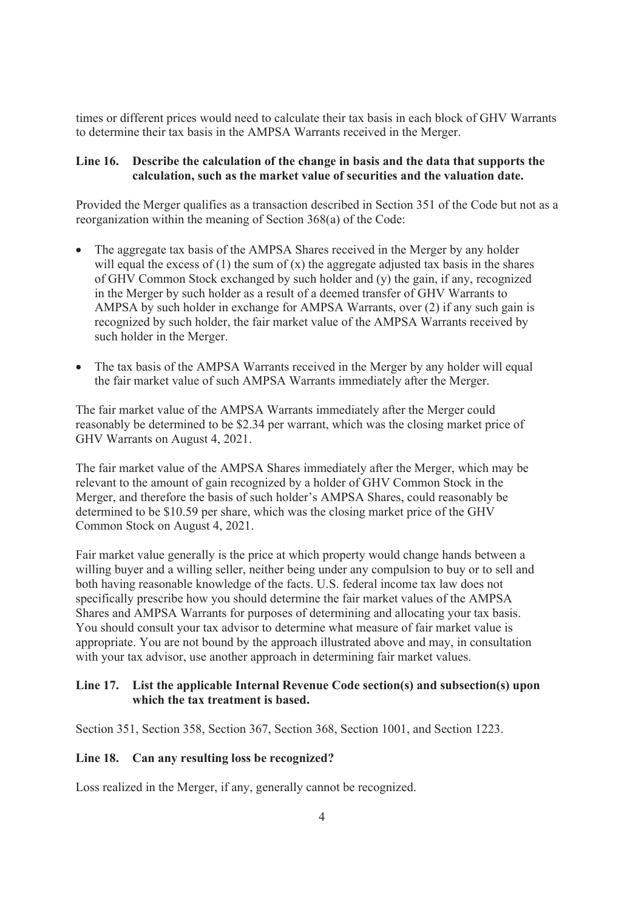times or different prices would need to calculate their tax basis in each block of GHV Warrants to determine their tax basis in the AMPSA Warrants received in the Merger.

#### **Line 16. Describe the calculation of the change in basis and the data that supports the calculation, such as the market value of securities and the valuation date.**

Provided the Merger qualifies as a transaction described in Section 351 of the Code but not as a reorganization within the meaning of Section 368(a) of the Code:

- The aggregate tax basis of the AMPSA Shares received in the Merger by any holder will equal the excess of  $(1)$  the sum of  $(x)$  the aggregate adjusted tax basis in the shares of GHV Common Stock exchanged by such holder and (y) the gain, if any, recognized in the Merger by such holder as a result of a deemed transfer of GHV Warrants to AMPSA by such holder in exchange for AMPSA Warrants, over (2) if any such gain is recognized by such holder, the fair market value of the AMPSA Warrants received by such holder in the Merger.
- The tax basis of the AMPSA Warrants received in the Merger by any holder will equal the fair market value of such AMPSA Warrants immediately after the Merger.

The fair market value of the AMPSA Warrants immediately after the Merger could reasonably be determined to be \$2.34 per warrant, which was the closing market price of GHV Warrants on August 4, 2021.

The fair market value of the AMPSA Shares immediately after the Merger, which may be relevant to the amount of gain recognized by a holder of GHV Common Stock in the Merger, and therefore the basis of such holder's AMPSA Shares, could reasonably be determined to be \$10.59 per share, which was the closing market price of the GHV Common Stock on August 4, 2021.

Fair market value generally is the price at which property would change hands between a willing buyer and a willing seller, neither being under any compulsion to buy or to sell and both having reasonable knowledge of the facts. U.S. federal income tax law does not specifically prescribe how you should determine the fair market values of the AMPSA Shares and AMPSA Warrants for purposes of determining and allocating your tax basis. You should consult your tax advisor to determine what measure of fair market value is appropriate. You are not bound by the approach illustrated above and may, in consultation with your tax advisor, use another approach in determining fair market values.

# **Line 17. List the applicable Internal Revenue Code section(s) and subsection(s) upon which the tax treatment is based.**

Section 351, Section 358, Section 367, Section 368, Section 1001, and Section 1223.

#### **Line 18. Can any resulting loss be recognized?**

Loss realized in the Merger, if any, generally cannot be recognized.